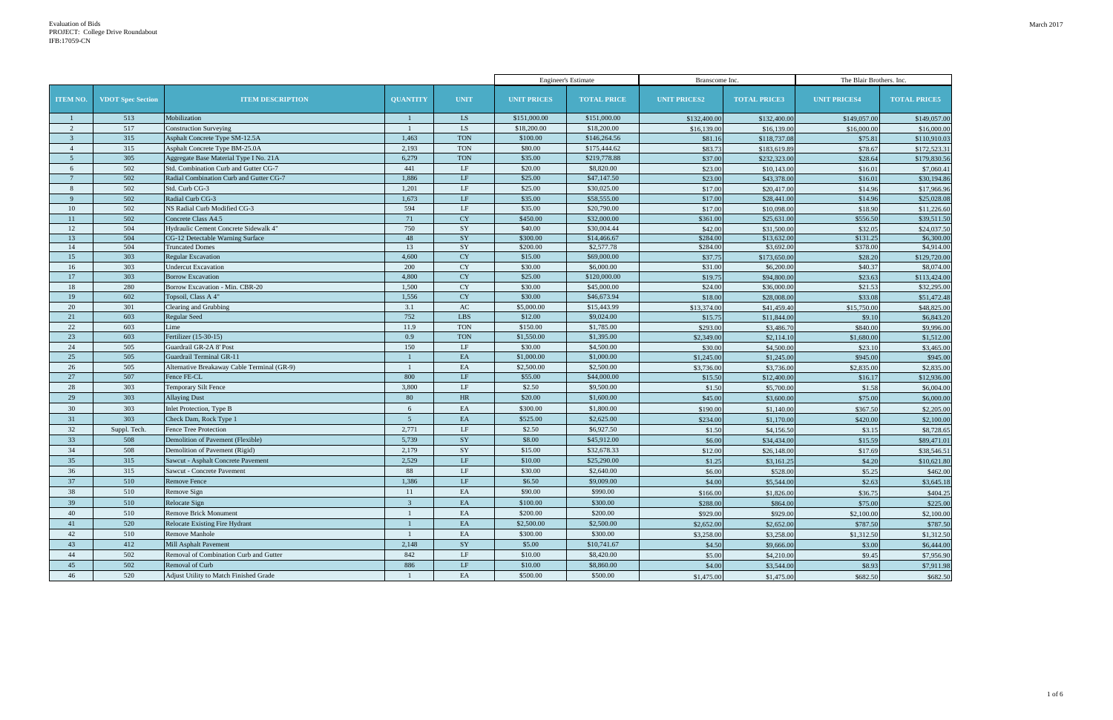| The Blair Brothers. Inc. |                     |  |  |  |  |  |  |  |
|--------------------------|---------------------|--|--|--|--|--|--|--|
| <b>NIT PRICES4</b>       | <b>TOTAL PRICE5</b> |  |  |  |  |  |  |  |
| \$149,057.00             | \$149,057.00        |  |  |  |  |  |  |  |
| \$16,000.00              | \$16,000.00         |  |  |  |  |  |  |  |
| \$75.81                  | \$110,910.03        |  |  |  |  |  |  |  |
| \$78.67                  | \$172,523.31        |  |  |  |  |  |  |  |
| \$28.64                  | \$179,830.56        |  |  |  |  |  |  |  |
| \$16.01                  | \$7,060.41          |  |  |  |  |  |  |  |
| \$16.01                  | \$30,194.86         |  |  |  |  |  |  |  |
| \$14.96                  | \$17,966.96         |  |  |  |  |  |  |  |
| \$14.96                  | \$25,028.08         |  |  |  |  |  |  |  |
| \$18.90                  | \$11,226.60         |  |  |  |  |  |  |  |
| \$556.50                 | \$39,511.50         |  |  |  |  |  |  |  |
| \$32.05                  | \$24,037.50         |  |  |  |  |  |  |  |
| \$131.25                 | \$6,300.00          |  |  |  |  |  |  |  |
| \$378.00                 | \$4,914.00          |  |  |  |  |  |  |  |
| \$28.20                  | \$129,720.00        |  |  |  |  |  |  |  |
| \$40.37                  | \$8,074.00          |  |  |  |  |  |  |  |
| \$23.63                  | \$113,424.00        |  |  |  |  |  |  |  |
| \$21.53                  | \$32,295.00         |  |  |  |  |  |  |  |
| \$33.08                  | \$51,472.48         |  |  |  |  |  |  |  |
| \$15,750.00              | \$48,825.00         |  |  |  |  |  |  |  |
| \$9.10                   | \$6,843.20          |  |  |  |  |  |  |  |
| \$840.00                 | \$9,996.00          |  |  |  |  |  |  |  |
| \$1,680.00               | \$1,512.00          |  |  |  |  |  |  |  |
| \$23.10                  | \$3,465.00          |  |  |  |  |  |  |  |
| \$945.00                 | \$945.00            |  |  |  |  |  |  |  |
| \$2,835.00               | \$2,835.00          |  |  |  |  |  |  |  |
| \$16.17                  | \$12,936.00         |  |  |  |  |  |  |  |
| \$1.58                   | \$6,004.00          |  |  |  |  |  |  |  |
| \$75.00                  | \$6,000.00          |  |  |  |  |  |  |  |
| \$367.50                 | \$2,205.00          |  |  |  |  |  |  |  |
| \$420.00                 | \$2,100.00          |  |  |  |  |  |  |  |
| \$3.15                   | \$8,728.65          |  |  |  |  |  |  |  |
| \$15.59                  | \$89,471.01         |  |  |  |  |  |  |  |
| \$17.69                  | \$38,546.51         |  |  |  |  |  |  |  |
| \$4.20                   | \$10,621.80         |  |  |  |  |  |  |  |
| \$5.25                   | \$462.00            |  |  |  |  |  |  |  |
| \$2.63                   | \$3,645.18          |  |  |  |  |  |  |  |
| \$36.75                  | \$404.25            |  |  |  |  |  |  |  |
| \$75.00                  | \$225.00            |  |  |  |  |  |  |  |
|                          |                     |  |  |  |  |  |  |  |
| \$2,100.00               | \$2,100.00          |  |  |  |  |  |  |  |
| \$787.50                 | \$787.50            |  |  |  |  |  |  |  |
| \$1,312.50               | \$1,312.50          |  |  |  |  |  |  |  |
| \$3.00                   | \$6,444.00          |  |  |  |  |  |  |  |
| \$9.45                   | \$7,956.90          |  |  |  |  |  |  |  |
| \$8.93                   | \$7,911.98          |  |  |  |  |  |  |  |
| \$682.50                 | \$682.50            |  |  |  |  |  |  |  |

|                 |                          |                                             |                 |                        |                    | <b>Engineer's Estimate</b> | Branscome Inc.      |                     | The Blair Brothers. Inc. |                     |
|-----------------|--------------------------|---------------------------------------------|-----------------|------------------------|--------------------|----------------------------|---------------------|---------------------|--------------------------|---------------------|
| <b>ITEM NO.</b> | <b>VDOT</b> Spec Section | <b>ITEM DESCRIPTION</b>                     | <b>QUANTITY</b> | <b>UNIT</b>            | <b>UNIT PRICES</b> | <b>TOTAL PRICE</b>         | <b>UNIT PRICES2</b> | <b>TOTAL PRICE3</b> | <b>UNIT PRICES4</b>      | <b>TOTAL PRICE5</b> |
|                 | 513                      | Mobilization                                |                 | LS.                    | \$151,000.00       | \$151,000.00               | \$132,400.00        | \$132,400.00        | \$149,057.00             | \$149,057.00        |
| 2               | 517                      | <b>Construction Surveying</b>               |                 | LS                     | \$18,200.00        | \$18,200.00                | \$16,139.00         | \$16,139.00         | \$16,000.00              | \$16,000.00         |
| $\overline{3}$  | 315                      | Asphalt Concrete Type SM-12.5A              | 1,463           | <b>TON</b>             | \$100.00           | \$146,264.56               | \$81.16             | \$118,737.08        | \$75.81                  | \$110,910.03        |
| $\overline{4}$  | 315                      | Asphalt Concrete Type BM-25.0A              | 2,193           | <b>TON</b>             | \$80.00            | \$175,444.62               | \$83.73             | \$183,619.89        | \$78.67                  | \$172,523.31        |
| 5 <sup>5</sup>  | 305                      | Aggregate Base Material Type I No. 21A      | 6,279           | <b>TON</b>             | \$35.00            | \$219,778.88               | \$37.00             | \$232,323.00        | \$28.64                  | \$179,830.56        |
| 6               | 502                      | Std. Combination Curb and Gutter CG-7       | 441             | LF                     | \$20.00            | \$8,820.00                 | \$23.00             | \$10,143.00         | \$16.01                  | \$7,060.41          |
| $7\phantom{.0}$ | 502                      | Radial Combination Curb and Gutter CG-7     | 1,886           | LF                     | \$25.00            | \$47,147.50                | \$23.00             | \$43,378.00         | \$16.01                  | \$30,194.86         |
| 8               | 502                      | Std. Curb CG-3                              | 1,201           | $\operatorname{LF}$    | \$25.00            | \$30,025.00                | \$17.00             | \$20,417.00         | \$14.96                  | \$17,966.96         |
| 9               | 502                      | Radial Curb CG-3                            | 1,673           | LF                     | \$35.00            | \$58,555.00                | \$17.00             | \$28,441.00         | \$14.96                  | \$25,028.08         |
| 10              | 502                      | NS Radial Curb Modified CG-3                | 594             | LF                     | \$35.00            | \$20,790.00                | \$17.00             | \$10,098.00         | \$18.90                  | \$11,226.60         |
| 11              | 502                      | Concrete Class A4.5                         | 71              | CY                     | \$450.00           | \$32,000.00                | \$361.00            | \$25,631.00         | \$556.50                 | \$39,511.50         |
| 12              | 504                      | Hydraulic Cement Concrete Sidewalk 4"       | 750             | ${\rm SY}$             | \$40.00            | \$30,004.44                | \$42.00             | \$31,500.00         | \$32.05                  | \$24,037.50         |
| 13              | 504                      | CG-12 Detectable Warning Surface            | 48              | SY                     | \$300.00           | \$14,466.67                | \$284.00            | \$13,632.00         | \$131.25                 | \$6,300.00          |
| 14              | 504                      | <b>Truncated Domes</b>                      | 13              | ${\rm SY}$             | \$200.00           | \$2,577.78                 | \$284.00            | \$3,692.00          | \$378.00                 | \$4,914.00          |
| 15              | 303                      | <b>Regular Excavation</b>                   | 4,600           | CY                     | \$15.00            | \$69,000.00                | \$37.75             | \$173,650.00        | \$28.20                  | \$129,720.00        |
| 16              | 303                      | <b>Undercut Excavation</b>                  | 200             | ${\rm CY}$             | \$30.00            | \$6,000.00                 | \$31.00             | \$6,200.00          | \$40.37                  | \$8,074.00          |
| 17              | 303                      | <b>Borrow Excavation</b>                    | 4,800           | <b>CY</b>              | \$25.00            | \$120,000.00               | \$19.75             | \$94,800.00         | \$23.63                  | \$113,424.00        |
| 18              | 280                      | Borrow Excavation - Min. CBR-20             | 1,500           | CY                     | \$30.00            | \$45,000.00                | \$24.00             | \$36,000.00         | \$21.53                  | \$32,295.00         |
| 19              | 602                      | Topsoil, Class A 4"                         | 1,556           | CY                     | \$30.00            | \$46,673.94                | \$18.00             | \$28,008.00         | \$33.08                  | \$51,472.48         |
| 20              | 301                      | Clearing and Grubbing                       | 3.1             | $\mathbf{A}\mathbf{C}$ | \$5,000.00         | \$15,443.99                | \$13,374.00         | \$41,459.40         | \$15,750.00              | \$48,825.00         |
| 21              | 603                      | <b>Regular Seed</b>                         | 752             | LBS                    | \$12.00            | \$9,024.00                 | \$15.75             | \$11,844.00         | \$9.10                   | \$6,843.20          |
| 22              | 603                      | Lime                                        | 11.9            | <b>TON</b>             | \$150.00           | \$1,785.00                 | \$293.00            | \$3,486.70          | \$840.00                 | \$9,996.00          |
| 23              | 603                      | Fertilizer (15-30-15)                       | 0.9             | <b>TON</b>             | \$1,550.00         | \$1,395.00                 | \$2,349.00          | \$2,114.10          | \$1,680.00               | \$1,512.00          |
| 24              | 505                      | Guardrail GR-2A 8' Post                     | 150             | LF                     | \$30.00            | \$4,500.00                 | \$30.00             | \$4,500.00          | \$23.10                  | \$3,465.00          |
| 25              | 505                      | Guardrail Terminal GR-11                    |                 | $\mathbf{E}\mathbf{A}$ | \$1,000.00         | \$1,000.00                 | \$1,245.00          | \$1,245.00          | \$945.00                 | \$945.00            |
| 26              | 505                      | Alternative Breakaway Cable Terminal (GR-9) |                 | EA                     | \$2,500.00         | \$2,500.00                 | \$3,736.00          | \$3,736.00          | \$2,835.00               | \$2,835.00          |
| 27              | 507                      | Fence FE-CL                                 | 800             | LF                     | \$55.00            | \$44,000.00                | \$15.50             | \$12,400.00         | \$16.17                  | \$12,936.00         |
| 28              | 303                      | Temporary Silt Fence                        | 3,800           | LF                     | \$2.50             | \$9,500.00                 | \$1.50              | \$5,700.00          | \$1.58                   | \$6,004.00          |
| 29              | 303                      | <b>Allaying Dust</b>                        | 80              | HR                     | \$20.00            | \$1,600.00                 | \$45.00             | \$3,600.00          | \$75.00                  | \$6,000.00          |
| 30              | 303                      | Inlet Protection, Type B                    | 6               | $\mathbf{E}\mathbf{A}$ | \$300.00           | \$1,800.00                 | \$190.00            | \$1,140.00          | \$367.50                 | \$2,205.00          |
| 31              | 303                      | Check Dam, Rock Type 1                      | 5               | EA                     | \$525.00           | \$2,625.00                 | \$234.00            | \$1,170.00          | \$420.00                 | \$2,100.00          |
| 32              | Suppl. Tech.             | Fence Tree Protection                       | 2,771           | LF                     | \$2.50             | \$6,927.50                 | \$1.50              | \$4,156.50          | \$3.15                   | \$8,728.65          |
| 33              | 508                      | Demolition of Pavement (Flexible)           | 5,739           | SY                     | \$8.00             | \$45,912.00                | \$6.00              | \$34,434.00         | \$15.59                  | \$89,471.01         |
| 34              | 508                      | Demolition of Pavement (Rigid)              | 2,179           | ${\rm SY}$             | \$15.00            | \$32,678.33                | \$12.00             | \$26,148.00         | \$17.69                  | \$38,546.51         |
| 35              | 315                      | Sawcut - Asphalt Concrete Pavement          | 2,529           | $\rm LF$               | \$10.00            | \$25,290.00                | \$1.25              | \$3,161.25          | \$4.20                   | \$10,621.80         |
| 36              | 315                      | Sawcut - Concrete Pavement                  | 88              | LF                     | \$30.00            | \$2,640.00                 | \$6.00              | \$528.00            | \$5.25                   | \$462.00            |
| 37              | 510                      | Remove Fence                                | 1,386           | LF                     | \$6.50             | \$9,009.00                 | \$4.00              | \$5,544.00          | \$2.63                   | \$3,645.18          |
| 38              | 510                      | Remove Sign                                 | 11              | EA                     | \$90.00            | \$990.00                   | \$166.00            | \$1,826.00          | \$36.75                  | \$404.25            |
| 39              | 510                      | Relocate Sign                               | $\mathbf{3}$    | EA                     | \$100.00           | \$300.00                   | \$288.00            | \$864.00            | \$75.00                  | \$225.00            |
| 40              | 510                      | <b>Remove Brick Monument</b>                |                 | EA                     | \$200.00           | \$200.00                   | \$929.00            | \$929.00            | \$2,100.00               | \$2,100.00          |
| 41              | 520                      | <b>Relocate Existing Fire Hydrant</b>       |                 | EA                     | \$2,500.00         | \$2,500.00                 | \$2,652.00          | \$2,652.00          | \$787.50                 | \$787.50            |
| 42              | 510                      | Remove Manhole                              |                 | EA                     | \$300.00           | \$300.00                   | \$3,258.00          | \$3,258.00          | \$1,312.50               | \$1,312.50          |
| 43              | 412                      | Mill Asphalt Pavement                       | 2,148           | $\rm SY$               | \$5.00             | \$10,741.67                | \$4.50              | \$9,666.00          | \$3.00                   | \$6,444.00          |
| 44              | 502                      | Removal of Combination Curb and Gutter      | 842             | LF                     | \$10.00            | \$8,420.00                 | \$5.00              | \$4,210.00          | \$9.45                   | \$7,956.90          |
| 45              | 502                      | Removal of Curb                             | 886             | LF                     | \$10.00            | \$8,860.00                 |                     |                     |                          |                     |
| 46              | 520                      | Adjust Utility to Match Finished Grade      |                 | EA                     |                    |                            | \$4.00              | \$3,544.00          | \$8.93                   | \$7,911.98          |
|                 |                          |                                             |                 |                        | \$500.00           | \$500.00                   | \$1,475.00          | \$1,475.00          | \$682.50                 | \$682.50            |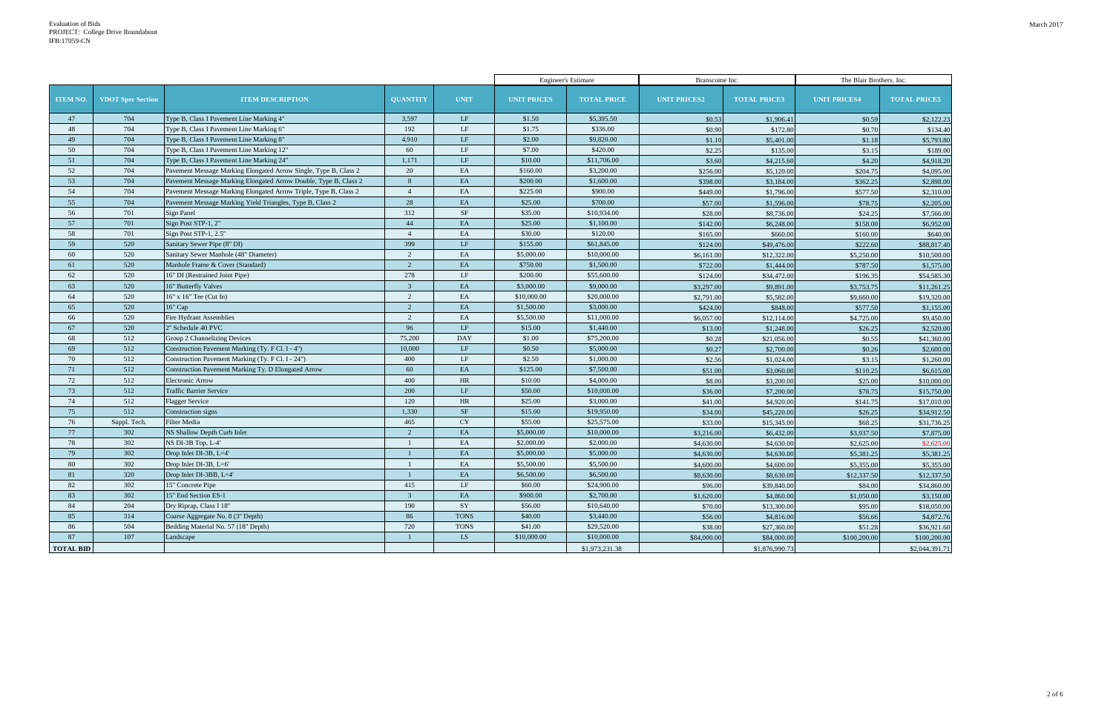| The Blair Brothers. Inc. |                     |  |  |  |  |  |  |  |
|--------------------------|---------------------|--|--|--|--|--|--|--|
| <b>NIT PRICES4</b>       | <b>TOTAL PRICES</b> |  |  |  |  |  |  |  |
| \$0.59                   | \$2,122.23          |  |  |  |  |  |  |  |
| \$0.70                   | \$134.40            |  |  |  |  |  |  |  |
| \$1.18                   | \$5,793.80          |  |  |  |  |  |  |  |
| \$3.15                   | \$189.00            |  |  |  |  |  |  |  |
| \$4.20                   | \$4,918.20          |  |  |  |  |  |  |  |
| \$204.75                 | \$4,095.00          |  |  |  |  |  |  |  |
| \$362.25                 | \$2,898.00          |  |  |  |  |  |  |  |
| \$577.50                 | \$2,310.00          |  |  |  |  |  |  |  |
| \$78.75                  | \$2,205.00          |  |  |  |  |  |  |  |
| \$24.25                  | \$7,566.00          |  |  |  |  |  |  |  |
| \$158.00                 | \$6,952.00          |  |  |  |  |  |  |  |
| \$160.00                 | \$640.00            |  |  |  |  |  |  |  |
| \$222.60                 | \$88,817.40         |  |  |  |  |  |  |  |
| \$5,250.00               | \$10,500.00         |  |  |  |  |  |  |  |
| \$787.50                 | \$1,575.00          |  |  |  |  |  |  |  |
| \$196.35                 | \$54,585.30         |  |  |  |  |  |  |  |
| \$3,753.75               | \$11,261.25         |  |  |  |  |  |  |  |
| \$9,660.00               | \$19,320.00         |  |  |  |  |  |  |  |
| \$577.50                 | \$1,155.00          |  |  |  |  |  |  |  |
| \$4,725.00               | \$9,450.00          |  |  |  |  |  |  |  |
| \$26.25                  | \$2,520.00          |  |  |  |  |  |  |  |
| \$0.55                   | \$41,360.00         |  |  |  |  |  |  |  |
| \$0.26                   | \$2,600.00          |  |  |  |  |  |  |  |
| \$3.15                   | \$1,260.00          |  |  |  |  |  |  |  |
| \$110.25                 | \$6,615.00          |  |  |  |  |  |  |  |
| \$25.00                  | \$10,000.00         |  |  |  |  |  |  |  |
| \$78.75                  | \$15,750.00         |  |  |  |  |  |  |  |
| \$141.75                 | \$17,010.00         |  |  |  |  |  |  |  |
| \$26.25                  | \$34,912.50         |  |  |  |  |  |  |  |
| \$68.25                  | \$31,736.25         |  |  |  |  |  |  |  |
| \$3,937.50               | \$7,875.00          |  |  |  |  |  |  |  |
| \$2,625.00               | \$2,625.00          |  |  |  |  |  |  |  |
| \$5,381.25               | \$5,381.25          |  |  |  |  |  |  |  |
| \$5,355.00               | \$5,355.00          |  |  |  |  |  |  |  |
| \$12,337.50              | \$12,337.50         |  |  |  |  |  |  |  |
| \$84.00                  | \$34,860.00         |  |  |  |  |  |  |  |
| \$1,050.00               | \$3,150.00          |  |  |  |  |  |  |  |
| \$95.00                  | \$18,050.00         |  |  |  |  |  |  |  |
| \$56.66                  | \$4,872.76          |  |  |  |  |  |  |  |
| \$51.28                  | \$36,921.60         |  |  |  |  |  |  |  |
| \$100,200.00             | \$100,200.00        |  |  |  |  |  |  |  |
|                          | \$2,044,391.71      |  |  |  |  |  |  |  |
|                          |                     |  |  |  |  |  |  |  |

|                  |                          |                                                                  |                 |             |                    | <b>Engineer's Estimate</b> | Branscome Inc.      |                     | The Blair Brothers. Inc. |                     |
|------------------|--------------------------|------------------------------------------------------------------|-----------------|-------------|--------------------|----------------------------|---------------------|---------------------|--------------------------|---------------------|
| <b>ITEM NO.</b>  | <b>VDOT</b> Spec Section | <b>ITEM DESCRIPTION</b>                                          | <b>QUANTITY</b> | <b>UNIT</b> | <b>UNIT PRICES</b> | <b>TOTAL PRICE</b>         | <b>UNIT PRICES2</b> | <b>TOTAL PRICE3</b> | <b>UNIT PRICES4</b>      | <b>TOTAL PRICE5</b> |
| 47               | 704                      | Type B, Class I Pavement Line Marking 4"                         | 3,597           | LF          | \$1.50             | \$5,395.50                 | \$0.53              | \$1,906.41          | \$0.59                   | \$2,122.23          |
| 48               | 704                      | Type B, Class I Pavement Line Marking 6"                         | 192             | LF          | \$1.75             | \$336.00                   | \$0.90              | \$172.80            | \$0.70                   | \$134.40            |
| 49               | 704                      | Type B, Class I Pavement Line Marking 8"                         | 4,910           | LF          | \$2.00             | \$9,820.00                 | \$1.10              | \$5,401.00          | \$1.18                   | \$5,793.80          |
| 50               | 704                      | Type B, Class I Pavement Line Marking 12"                        | 60              | LF          | \$7.00             | \$420.00                   | \$2.25              | \$135.00            | \$3.15                   | \$189.00            |
| 51               | 704                      | Type B, Class I Pavement Line Marking 24"                        | 1,171           | LF          | \$10.00            | \$11,706.00                | \$3.60              | \$4,215.60          | \$4.20                   | \$4,918.20          |
| 52               | 704                      | Pavement Message Marking Elongated Arrow Single, Type B, Class 2 | 20              | EA          | \$160.00           | \$3,200.00                 | \$256.00            | \$5,120.00          | \$204.75                 | \$4,095.00          |
| 53               | 704                      | Pavement Message Marking Elongated Arrow Double, Type B, Class 2 | 8               | EA          | \$200.00           | \$1,600.00                 | \$398.00            | \$3,184.00          | \$362.25                 | \$2,898.00          |
| 54               | 704                      | Pavement Message Marking Elongated Arrow Triple, Type B, Class 2 | $\overline{4}$  | EA          | \$225.00           | \$900.00                   | \$449.00            | \$1,796.00          | \$577.50                 | \$2,310.00          |
| 55               | 704                      | Pavement Message Marking Yield Triangles, Type B, Class 2        | 28              | EA          | \$25.00            | \$700.00                   | \$57.00             | \$1,596.00          | \$78.75                  | \$2,205.00          |
| 56               | 701                      | Sign Panel                                                       | 312             | SF          | \$35.00            | \$10,934.00                | \$28.00             | \$8,736.00          | \$24.25                  | \$7,566.00          |
| 57               | 701                      | Sign Post STP-1, 2"                                              | 44              | EA          | \$25.00            | \$1,100.00                 | \$142.00            | \$6,248.00          | \$158.00                 | \$6,952.00          |
| 58               | 701                      | Sign Post STP-1, 2.5"                                            | $\overline{4}$  | EA          | \$30.00            | \$120.00                   | \$165.00            | \$660.00            | \$160.00                 | \$640.00            |
| 59               | 520                      | Sanitary Sewer Pipe (8" DI)                                      | 399             | LF          | \$155.00           | \$61,845.00                | \$124.00            | \$49,476.00         | \$222.60                 | \$88,817.40         |
| 60               | 520                      | Sanitary Sewer Manhole (48" Diameter)                            | 2               | EA          | \$5,000.00         | \$10,000.00                | \$6,161.00          | \$12,322.00         | \$5,250.00               | \$10,500.00         |
| 61               | 520                      | Manhole Frame & Cover (Standard)                                 | 2               | EA          | \$750.00           | \$1,500.00                 | \$722.00            | \$1,444.00          | \$787.50                 | \$1,575.00          |
| 62               | 520                      | 16" DI (Restrained Joint Pipe)                                   | 278             | LF          | \$200.00           | \$55,600.00                | \$124.00            | \$34,472.00         | \$196.35                 | \$54,585.30         |
| 63               | 520                      | 16" Butterfly Valves                                             | $\overline{3}$  | EA          | \$3,000.00         | \$9,000.00                 | \$3,297.00          | \$9,891.00          | \$3,753.75               | \$11,261.25         |
| 64               | 520                      | 16" x 16" Tee (Cut In)                                           | 2               | EA          | \$10,000.00        | \$20,000.00                | \$2,791.00          | \$5,582.00          | \$9,660.00               | \$19,320.00         |
| 65               | 520                      | 16" Cap                                                          | 2               | EA          | \$1,500.00         | \$3,000.00                 | \$424.00            | \$848.00            | \$577.50                 | \$1,155.00          |
| 66               | 520                      | <b>Fire Hydrant Assemblies</b>                                   | 2               | EA          | \$5,500.00         | \$11,000.00                | \$6,057.00          | \$12,114.00         | \$4,725.00               | \$9,450.00          |
| 67               | 520                      | 2" Schedule 40 PVC                                               | 96              | LF          | \$15.00            | \$1,440.00                 | \$13.00             | \$1,248.00          | \$26.25                  | \$2,520.00          |
| 68               | 512                      | Group 2 Channelizing Devices                                     | 75,200          | <b>DAY</b>  | \$1.00             | \$75,200.00                | \$0.28              | \$21,056.00         | \$0.55                   | \$41,360.00         |
| 69               | 512                      | Construction Pavement Marking (Ty. F Cl. I - 4")                 | 10,000          | LF          | \$0.50             | \$5,000.00                 | \$0.27              | \$2,700.00          | \$0.26                   | \$2,600.00          |
| 70               | 512                      | Construction Pavement Marking (Ty. F Cl. I - 24")                | 400             | LF          | \$2.50             | \$1,000.00                 | \$2.56              | \$1,024.00          | \$3.15                   | \$1,260.00          |
| 71               | 512                      | Construction Pavement Marking Ty. D Elongated Arrow              | 60              | EA          | \$125.00           | \$7,500.00                 | \$51.00             | \$3,060.00          | \$110.25                 | \$6,615.00          |
| 72               | 512                      | <b>Electronic Arrow</b>                                          | 400             | HR          | \$10.00            | \$4,000.00                 | \$8.00              | \$3,200.00          | \$25.00                  | \$10,000.00         |
| 73               | 512                      | <b>Traffic Barrier Service</b>                                   | 200             | LF          | \$50.00            | \$10,000.00                | \$36.00             | \$7,200.00          | \$78.75                  | \$15,750.00         |
| 74               | 512                      | <b>Flagger Service</b>                                           | 120             | HR          | \$25.00            | \$3,000.00                 | \$41.00             | \$4,920.00          | \$141.75                 | \$17,010.00         |
| 75               | 512                      | Construction signs                                               | 1,330           | $\rm{SF}$   | \$15.00            | \$19,950.00                | \$34.00             | \$45,220.00         | \$26.25                  | \$34,912.50         |
| 76               | Suppl. Tech.             | <b>Filter Media</b>                                              | 465             | <b>CY</b>   | \$55.00            | \$25,575.00                | \$33.00             | \$15,345.00         | \$68.25                  | \$31,736.25         |
| 77               | 302                      | NS Shallow Depth Curb Inlet                                      | $\overline{2}$  | EA          | \$5,000.00         | \$10,000.00                | \$3,216.00          | \$6,432.00          | \$3,937.50               | \$7,875.00          |
| 78               | 302                      | NS DI-3B Top, L-4'                                               |                 | EA          | \$2,000.00         | \$2,000.00                 | \$4,630.00          | \$4,630.00          | \$2,625.00               | \$2,625.00          |
| 79               | 302                      | Drop Inlet DI-3B, L=4'                                           |                 | EA          | \$5,000.00         | \$5,000.00                 | \$4,630.00          | \$4,630.00          | \$5,381.25               | \$5,381.25          |
| 80               | 302                      | Drop Inlet DI-3B, L=6'                                           |                 | EA          | \$5,500.00         | \$5,500.00                 | \$4,600.00          | \$4,600.00          | \$5,355.00               | \$5,355.00          |
| 81               | 320                      | Drop Inlet DI-3BB, L=4'                                          |                 | EA          | \$6,500.00         | \$6,500.00                 | \$8,630.00          | \$8,630.00          | \$12,337.50              | \$12,337.50         |
| 82               | 302                      | 15" Concrete Pipe                                                | 415             | LF          | \$60.00            | \$24,900.00                | \$96.00             | \$39,840.00         | \$84.00                  | \$34,860.00         |
| 83               | 302                      | 15" End Section ES-1                                             | $\mathbf{3}$    | EA          | \$900.00           | \$2,700.00                 | \$1,620.00          | \$4,860.00          | \$1,050.00               | \$3,150.00          |
| 84               | 204                      | Dry Riprap, Class I 18"                                          | 190             | SY          | \$56.00            | \$10,640.00                | \$70.00             | \$13,300.00         | \$95.00                  | \$18,050.00         |
| 85               | 314                      | Coarse Aggregate No. 8 (3" Depth)                                | 86              | <b>TONS</b> | \$40.00            | \$3,440.00                 | \$56.00             | \$4,816.00          | \$56.66                  | \$4,872.76          |
| 86               | 504                      | Bedding Material No. 57 (18" Depth)                              | 720             | <b>TONS</b> | \$41.00            | \$29,520.00                | \$38.00             | \$27,360.00         | \$51.28                  | \$36,921.60         |
| 87               | 107                      | Landscape                                                        |                 | LS.         | \$10,000.00        | \$10,000.00                | \$84,000.00         | \$84,000.00         | \$100,200.00             | \$100,200.00        |
| <b>TOTAL BID</b> |                          |                                                                  |                 |             |                    | \$1,973,231.38             |                     | \$1,876,990.73      |                          | \$2,044,391.71      |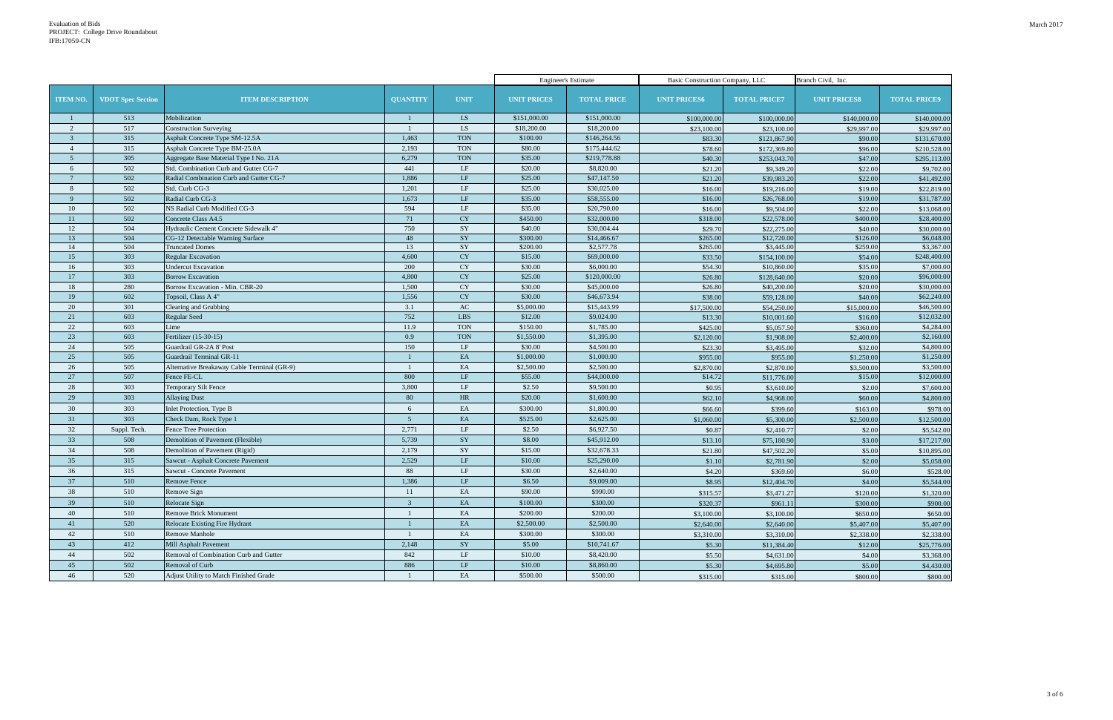|                 |                          |                                             |                 |             | <b>Engineer's Estimate</b> |                    | Basic Construction Company, LLC |                     | Branch Civil, Inc.  |                     |
|-----------------|--------------------------|---------------------------------------------|-----------------|-------------|----------------------------|--------------------|---------------------------------|---------------------|---------------------|---------------------|
| <b>ITEM NO.</b> | <b>VDOT</b> Spec Section | <b>ITEM DESCRIPTION</b>                     | <b>QUANTITY</b> | <b>UNIT</b> | <b>UNIT PRICES</b>         | <b>TOTAL PRICE</b> | <b>UNIT PRICES6</b>             | <b>TOTAL PRICE7</b> | <b>UNIT PRICESS</b> | <b>TOTAL PRICE9</b> |
|                 | 513                      | Mobilization                                |                 | LS          | \$151,000.00               | \$151,000.00       | \$100,000.00                    | \$100,000.00        | \$140,000.00        | \$140,000.00        |
| 2               | 517                      | <b>Construction Surveying</b>               |                 | LS          | \$18,200.00                | \$18,200.00        | \$23,100.00                     | \$23,100.00         | \$29,997.00         | \$29,997.00         |
| $\overline{3}$  | 315                      | Asphalt Concrete Type SM-12.5A              | 1,463           | <b>TON</b>  | \$100.00                   | \$146,264.56       | \$83.30                         | \$121,867.90        | \$90.00             | \$131,670.00        |
| $\overline{4}$  | 315                      | Asphalt Concrete Type BM-25.0A              | 2,193           | <b>TON</b>  | \$80.00                    | \$175,444.62       | \$78.60                         | \$172,369.80        | \$96.00             | \$210,528.00        |
| $5\overline{)}$ | 305                      | Aggregate Base Material Type I No. 21A      | 6,279           | <b>TON</b>  | \$35.00                    | \$219,778.88       | \$40.30                         | \$253,043.70        | \$47.00             | \$295,113.00        |
| 6               | 502                      | Std. Combination Curb and Gutter CG-7       | 441             | LF          | \$20.00                    | \$8,820.00         | \$21.20                         | \$9,349.20          | \$22.00             | \$9,702.00          |
|                 | 502                      | Radial Combination Curb and Gutter CG-7     | 1,886           | $\rm LF$    | \$25.00                    | \$47,147.50        | \$21.20                         | \$39,983.20         | \$22.00             | \$41,492.00         |
| 8               | 502                      | Std. Curb CG-3                              | 1,201           | LF          | \$25.00                    | \$30,025.00        | \$16.00                         | \$19,216.00         | \$19.00             | \$22,819.00         |
| 9               | 502                      | Radial Curb CG-3                            | 1,673           | LF          | \$35.00                    | \$58,555.00        | \$16.00                         | \$26,768.00         | \$19.00             | \$31,787.00         |
| 10              | 502                      | NS Radial Curb Modified CG-3                | 594             | LF          | \$35.00                    | \$20,790.00        | \$16.00                         | \$9,504.00          | \$22.00             | \$13,068.00         |
| 11              | 502                      | Concrete Class A4.5                         | 71              | <b>CY</b>   | \$450.00                   | \$32,000.00        | \$318.00                        | \$22,578.00         | \$400.00            | \$28,400.00         |
| 12              | 504                      | Hydraulic Cement Concrete Sidewalk 4"       | 750             | SY          | \$40.00                    | \$30,004.44        | \$29.70                         | \$22,275.00         | \$40.00             | \$30,000.00         |
| 13              | 504                      | CG-12 Detectable Warning Surface            | 48              | SY          | \$300.00                   | \$14,466.67        | \$265.00                        | \$12,720.00         | \$126.00            | \$6,048.00          |
| 14              | 504                      | <b>Truncated Domes</b>                      | 13              | SY          | \$200.00                   | \$2,577.78         | \$265.00                        | \$3,445.00          | \$259.00            | \$3,367.00          |
| 15              | 303                      | <b>Regular Excavation</b>                   | 4,600           | <b>CY</b>   | \$15.00                    | \$69,000.00        | \$33.50                         | \$154,100.00        | \$54.00             | \$248,400.00        |
| 16              | 303                      | <b>Undercut Excavation</b>                  | 200             | CY          | \$30.00                    | \$6,000.00         | \$54.30                         | \$10,860.00         | \$35.00             | \$7,000.00          |
| 17              | 303                      | <b>Borrow Excavation</b>                    | 4,800           | CY          | \$25.00                    | \$120,000.00       | \$26.80                         | \$128,640.00        | \$20.00             | \$96,000.00         |
| 18              | 280                      | Borrow Excavation - Min. CBR-20             | 1,500           | CY          | \$30.00                    | \$45,000.00        | \$26.80                         | \$40,200.00         | \$20.00             | \$30,000.00         |
| 19              | 602                      | Topsoil, Class A 4"                         | 1,556           | CY          | \$30.00                    | \$46,673.94        | \$38.00                         | \$59,128.00         | \$40.00             | \$62,240.00         |
| 20              | 301                      | Clearing and Grubbing                       | 3.1             | AC          | \$5,000.00                 | \$15,443.99        | \$17,500.00                     | \$54,250.00         | \$15,000.00         | \$46,500.00         |
| 21              | 603                      | <b>Regular Seed</b>                         | 752             | LBS         | \$12.00                    | \$9,024.00         | \$13.30                         | \$10,001.60         | \$16.00             | \$12,032.00         |
| 22              | 603                      | Lime                                        | 11.9            | <b>TON</b>  | \$150.00                   | \$1,785.00         | \$425.00                        | \$5,057.50          | \$360.00            | \$4,284.00          |
| 23              | 603                      | Fertilizer (15-30-15)                       | 0.9             | <b>TON</b>  | \$1,550.00                 | \$1,395.00         | \$2,120.00                      | \$1,908.00          | \$2,400.00          | \$2,160.00          |
| 24              | 505                      | Guardrail GR-2A 8' Post                     | 150             | LF          | \$30.00                    | \$4,500.00         | \$23.30                         | \$3,495.00          | \$32.00             | \$4,800.00          |
| 25              | 505                      | Guardrail Terminal GR-11                    |                 | EA          | \$1,000.00                 | \$1,000.00         | \$955.00                        | \$955.00            | \$1,250.00          | \$1,250.00          |
| 26              | 505                      | Alternative Breakaway Cable Terminal (GR-9) |                 | EA          | \$2,500.00                 | \$2,500.00         | \$2,870.00                      | \$2,870.00          | \$3,500.00          | \$3,500.00          |
| 27              | 507                      | Fence FE-CL                                 | 800             | LF          | \$55.00                    | \$44,000.00        | \$14.72                         | \$11,776.00         | \$15.00             | \$12,000.00         |
| 28              | 303                      | Temporary Silt Fence                        | 3,800           | LF          | \$2.50                     | \$9,500.00         | \$0.95                          | \$3,610.00          | \$2.00              | \$7,600.00          |
| 29              | 303                      | <b>Allaying Dust</b>                        | 80              | HR          | \$20.00                    | \$1,600.00         | \$62.10                         | \$4,968.00          | \$60.00             | \$4,800.00          |
| 30              | 303                      | Inlet Protection, Type B                    | 6               | EA          | \$300.00                   | \$1,800.00         | \$66.60                         | \$399.60            | \$163.00            | \$978.00            |
| 31              | 303                      | Check Dam, Rock Type 1                      | $\overline{5}$  | EA          | \$525.00                   | \$2,625.00         | \$1,060.00                      | \$5,300.00          | \$2,500.00          | \$12,500.00         |
| 32              | Suppl. Tech.             | Fence Tree Protection                       | 2,771           | LF          | \$2.50                     | \$6,927.50         | \$0.87                          | \$2,410.7           | \$2.00              | \$5,542.00          |
| 33              | 508                      | Demolition of Pavement (Flexible)           | 5,739           | SY          | \$8.00                     | \$45,912.00        | \$13.10                         | \$75,180.90         | \$3.00              | \$17,217.00         |
| 34              | 508                      | Demolition of Pavement (Rigid)              | 2,179           | SY          | \$15.00                    | \$32,678.33        | \$21.80                         | \$47,502.20         | \$5.00              | \$10,895.00         |
| 35 <sup>5</sup> | 315                      | Sawcut - Asphalt Concrete Pavement          | 2,529           | LF          | \$10.00                    | \$25,290.00        | \$1.10                          | \$2,781.90          | \$2.00              | \$5,058.00          |
| 36              | 315                      | Sawcut - Concrete Pavement                  | 88              | $\rm LF$    | \$30.00                    | \$2,640.00         | \$4.20                          | \$369.60            | \$6.00              | \$528.00            |
| 37              | 510                      | Remove Fence                                | 1,386           | $\rm LF$    | \$6.50                     | \$9,009.00         | \$8.95                          | \$12,404.70         | \$4.00              | \$5,544.00          |
| 38              | 510                      | Remove Sign                                 | 11              | EA          | \$90.00                    | \$990.00           | \$315.57                        | \$3,471.27          | \$120.00            | \$1,320.00          |
| 39              | 510                      | Relocate Sign                               | $\overline{3}$  | EA          | \$100.00                   | \$300.00           | \$320.37                        | \$961.11            | \$300.00            | \$900.00            |
| 40              | 510                      | <b>Remove Brick Monument</b>                |                 | EA          | \$200.00                   | \$200.00           | \$3,100.00                      | \$3,100.00          | \$650.00            | \$650.00            |
| 41              | 520                      | Relocate Existing Fire Hydrant              |                 | EA          | \$2,500.00                 | \$2,500.00         |                                 |                     |                     |                     |
| 42              |                          | <b>Remove Manhole</b>                       |                 | EA          |                            |                    | \$2,640.00                      | \$2,640.00          | \$5,407.00          | \$5,407.00          |
|                 | 510                      |                                             |                 |             | \$300.00                   | \$300.00           | \$3,310.00                      | \$3,310.00          | \$2,338.00          | \$2,338.00          |
| 43              | 412                      | Mill Asphalt Pavement                       | 2,148           | SY          | \$5.00                     | \$10,741.67        | \$5.30                          | \$11,384.40         | \$12.00             | \$25,776.00         |
| 44              | 502                      | Removal of Combination Curb and Gutter      | 842             | LF          | \$10.00                    | \$8,420.00         | \$5.50                          | \$4,631.00          | \$4.00              | \$3,368.00          |
| 45              | 502                      | Removal of Curb                             | 886             | LF          | \$10.00                    | \$8,860.00         | \$5.30                          | \$4,695.80          | \$5.00              | \$4,430.00          |
| 46              | 520                      | Adjust Utility to Match Finished Grade      |                 | EA          | \$500.00                   | \$500.00           | \$315.00                        | \$315.00            | \$800.00            | \$800.00            |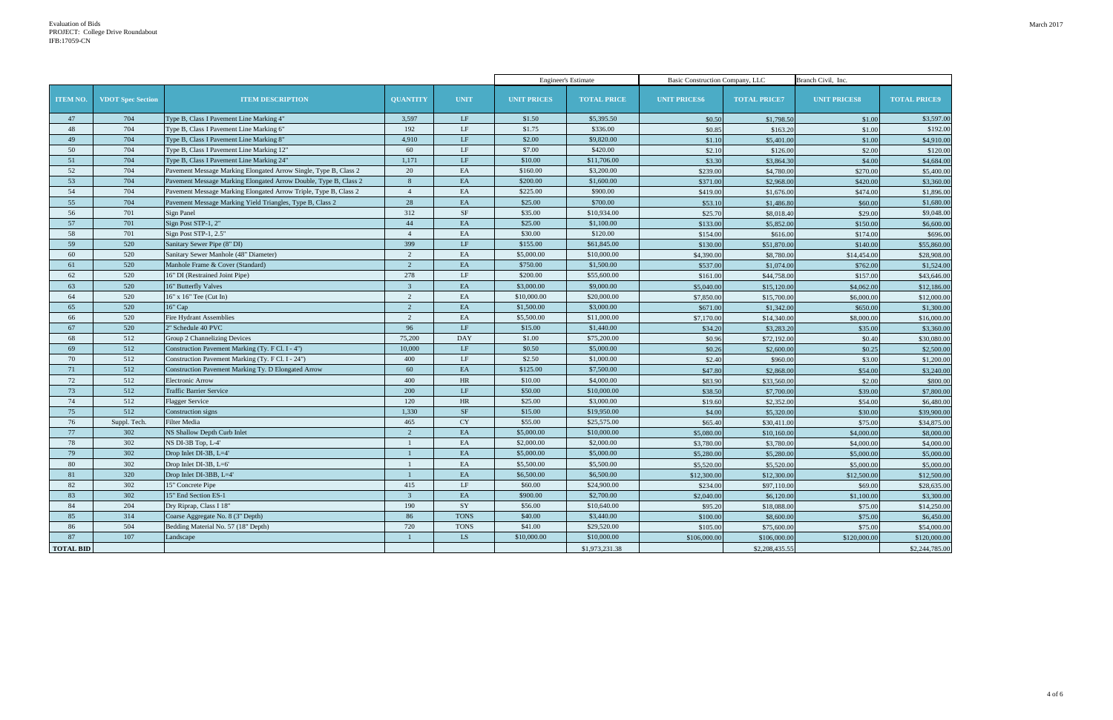|                  |                          |                                                                  |                 |                        | <b>Engineer's Estimate</b> |                    | Basic Construction Company, LLC |                     | Branch Civil, Inc.  |                     |
|------------------|--------------------------|------------------------------------------------------------------|-----------------|------------------------|----------------------------|--------------------|---------------------------------|---------------------|---------------------|---------------------|
| <b>ITEM NO.</b>  | <b>VDOT</b> Spec Section | <b>ITEM DESCRIPTION</b>                                          | <b>QUANTITY</b> | <b>UNIT</b>            | <b>UNIT PRICES</b>         | <b>TOTAL PRICE</b> | <b>UNIT PRICES6</b>             | <b>TOTAL PRICE7</b> | <b>UNIT PRICESS</b> | <b>TOTAL PRICE9</b> |
| 47               | 704                      | Type B, Class I Pavement Line Marking 4"                         | 3,597           | LF                     | \$1.50                     | \$5,395.50         | \$0.50                          | \$1,798.50          | \$1.00              | \$3,597.00          |
| 48               | 704                      | Type B, Class I Pavement Line Marking 6"                         | 192             | LF                     | \$1.75                     | \$336.00           | \$0.85                          | \$163.20            | \$1.00              | \$192.00            |
| 49               | 704                      | Type B, Class I Pavement Line Marking 8"                         | 4,910           | LF                     | \$2.00                     | \$9,820.00         | \$1.10                          | \$5,401.00          | \$1.00              | \$4,910.00          |
| 50               | 704                      | Type B, Class I Pavement Line Marking 12"                        | 60              | LF                     | \$7.00                     | \$420.00           | \$2.10                          | \$126.00            | \$2.00              | \$120.00            |
| 51               | 704                      | Type B, Class I Pavement Line Marking 24"                        | 1,171           | $\rm LF$               | \$10.00                    | \$11,706.00        | \$3.30                          | \$3,864.30          | \$4.00              | \$4,684.00          |
| 52               | 704                      | Pavement Message Marking Elongated Arrow Single, Type B, Class 2 | 20              | EA                     | \$160.00                   | \$3,200.00         | \$239.00                        | \$4,780.00          | \$270.00            | \$5,400.00          |
| 53               | 704                      | Pavement Message Marking Elongated Arrow Double, Type B, Class 2 | 8               | EA                     | \$200.00                   | \$1,600.00         | \$371.00                        | \$2,968.00          | \$420.00            | \$3,360.00          |
| 54               | 704                      | Pavement Message Marking Elongated Arrow Triple, Type B, Class 2 | $\overline{4}$  | EA                     | \$225.00                   | \$900.00           | \$419.00                        | \$1,676.00          | \$474.00            | \$1,896.00          |
| 55               | 704                      | Pavement Message Marking Yield Triangles, Type B, Class 2        | 28              | EA                     | \$25.00                    | \$700.00           | \$53.10                         | \$1,486.80          | \$60.00             | \$1,680.00          |
| 56               | 701                      | Sign Panel                                                       | 312             | <b>SF</b>              | \$35.00                    | \$10,934.00        | \$25.70                         | \$8,018.40          | \$29.00             | \$9,048.00          |
| 57               | 701                      | Sign Post STP-1, 2"                                              | 44              | EA                     | \$25.00                    | \$1,100.00         | \$133.00                        | \$5,852.00          | \$150.00            | \$6,600.00          |
| 58               | 701                      | Sign Post STP-1, 2.5"                                            | $\overline{4}$  | EA                     | \$30.00                    | \$120.00           | \$154.00                        | \$616.00            | \$174.00            | \$696.00            |
| 59               | 520                      | Sanitary Sewer Pipe (8" DI)                                      | 399             | $\rm LF$               | \$155.00                   | \$61,845.00        | \$130.00                        | \$51,870.00         | \$140.00            | \$55,860.00         |
| 60               | 520                      | Sanitary Sewer Manhole (48" Diameter)                            | $\mathcal{D}$   | EA                     | \$5,000.00                 | \$10,000.00        | \$4,390.00                      | \$8,780.00          | \$14,454.00         | \$28,908.00         |
| 61               | 520                      | Manhole Frame & Cover (Standard)                                 | 2               | EA                     | \$750.00                   | \$1,500.00         | \$537.00                        | \$1,074.00          | \$762.00            | \$1,524.00          |
| 62               | 520                      | 16" DI (Restrained Joint Pipe)                                   | 278             | $\rm LF$               | \$200.00                   | \$55,600.00        | \$161.00                        | \$44,758.00         | \$157.00            | \$43,646.00         |
| 63               | 520                      | 16" Butterfly Valves                                             | $\mathcal{R}$   | EA                     | \$3,000.00                 | \$9,000.00         | \$5,040.00                      | \$15,120.00         | \$4,062.00          | \$12,186.00         |
| 64               | 520                      | 16" x 16" Tee (Cut In)                                           | 2               | EA                     | \$10,000.00                | \$20,000.00        | \$7,850.00                      | \$15,700.00         | \$6,000.00          | \$12,000.00         |
| 65               | 520                      | 16" Cap                                                          | $\overline{2}$  | EA                     | \$1,500.00                 | \$3,000.00         | \$671.00                        | \$1,342.00          | \$650.00            | \$1,300.00          |
| 66               | 520                      | <b>Fire Hydrant Assemblies</b>                                   | 2               | EA                     | \$5,500.00                 | \$11,000.00        | \$7,170.00                      | \$14,340.00         | \$8,000.00          | \$16,000.00         |
| 67               | 520                      | 2" Schedule 40 PVC                                               | 96              | LF                     | \$15.00                    | \$1,440.00         | \$34.20                         | \$3,283.20          | \$35.00             | \$3,360.00          |
| 68               | 512                      | Group 2 Channelizing Devices                                     | 75,200          | <b>DAY</b>             | \$1.00                     | \$75,200.00        | \$0.96                          | \$72,192.00         | \$0.40              | \$30,080.00         |
| 69               | 512                      | Construction Pavement Marking (Ty. F Cl. I - 4")                 | 10,000          | LF                     | \$0.50                     | \$5,000.00         | \$0.26                          | \$2,600.00          | \$0.25              | \$2,500.00          |
| 70               | 512                      | Construction Pavement Marking (Ty. F Cl. I - 24")                | 400             | $\rm LF$               | \$2.50                     | \$1,000.00         | \$2.40                          | \$960.00            | \$3.00              | \$1,200.00          |
| 71               | 512                      | Construction Pavement Marking Ty. D Elongated Arrow              | 60              | EA                     | \$125.00                   | \$7,500.00         | \$47.80                         | \$2,868.00          | \$54.00             | \$3,240.00          |
| 72               | 512                      | <b>Electronic Arrow</b>                                          | 400             | HR                     | \$10.00                    | \$4,000.00         | \$83.90                         | \$33,560.00         | \$2.00              | \$800.00            |
| 73               | 512                      | <b>Traffic Barrier Service</b>                                   | 200             | LF                     | \$50.00                    | \$10,000.00        | \$38.50                         | \$7,700.00          | \$39.00             | \$7,800.00          |
| 74               | 512                      | <b>Flagger Service</b>                                           | 120             | HR                     | \$25.00                    | \$3,000.00         | \$19.60                         | \$2,352.00          | \$54.00             | \$6,480.00          |
| 75               | 512                      | Construction signs                                               | 1,330           | $\rm{SF}$              | \$15.00                    | \$19,950.00        | \$4.00                          | \$5,320.00          | \$30.00             | \$39,900.00         |
| 76               | Suppl. Tech.             | <b>Filter Media</b>                                              | 465             | <b>CY</b>              | \$55.00                    | \$25,575.00        | \$65.40                         | \$30,411.00         | \$75.00             | \$34,875.00         |
| 77               | 302                      | NS Shallow Depth Curb Inlet                                      | $\overline{2}$  | $\mathbf{E}\mathbf{A}$ | \$5,000.00                 | \$10,000.00        | \$5,080.00                      | \$10,160.00         | \$4,000.00          | \$8,000.00          |
| 78               | 302                      | NS DI-3B Top, L-4'                                               |                 | EA                     | \$2,000.00                 | \$2,000.00         | \$3,780.00                      | \$3,780.00          | \$4,000.00          | \$4,000.00          |
| 79               | 302                      | Drop Inlet DI-3B, L=4                                            |                 | EA                     | \$5,000.00                 | \$5,000.00         | \$5,280.00                      | \$5,280.00          | \$5,000.00          | \$5,000.00          |
| 80               | 302                      | Drop Inlet $DI-3B$ , $L=6'$                                      |                 | EA                     | \$5,500.00                 | \$5,500.00         | \$5,520.00                      | \$5,520.00          | \$5,000.00          | \$5,000.00          |
| 81               | 320                      | Drop Inlet DI-3BB, L=4'                                          |                 | EA                     | \$6,500.00                 | \$6,500.00         | \$12,300.00                     | \$12,300.00         | \$12,500.00         | \$12,500.00         |
| 82               | 302                      | 15" Concrete Pipe                                                | 415             | LF                     | \$60.00                    | \$24,900.00        | \$234.00                        | \$97,110.00         | \$69.00             | \$28,635.00         |
| 83               | 302                      | 15" End Section ES-1                                             | $\overline{3}$  | EA                     | \$900.00                   | \$2,700.00         | \$2,040.00                      | \$6,120.00          | \$1,100.00          | \$3,300.00          |
| 84               | 204                      | Dry Riprap, Class I 18"                                          | 190             | SY                     | \$56.00                    | \$10,640.00        | \$95.20                         | \$18,088.00         | \$75.00             | \$14,250.00         |
| 85               | 314                      | Coarse Aggregate No. 8 (3" Depth)                                | 86              | <b>TONS</b>            | \$40.00                    | \$3,440.00         | \$100.00                        | \$8,600.00          | \$75.00             | \$6,450.00          |
| 86               | 504                      | Bedding Material No. 57 (18" Depth)                              | 720             | <b>TONS</b>            | \$41.00                    | \$29,520.00        | \$105.00                        | \$75,600.00         | \$75.00             | \$54,000.00         |
| 87               | 107                      | Landscape                                                        |                 | LS                     | \$10,000.00                | \$10,000.00        | \$106,000.00                    | \$106,000.00        | \$120,000.00        | \$120,000.00        |
| <b>TOTAL BID</b> |                          |                                                                  |                 |                        |                            | \$1,973,231.38     |                                 | \$2,208,435.55      |                     | \$2,244,785.00      |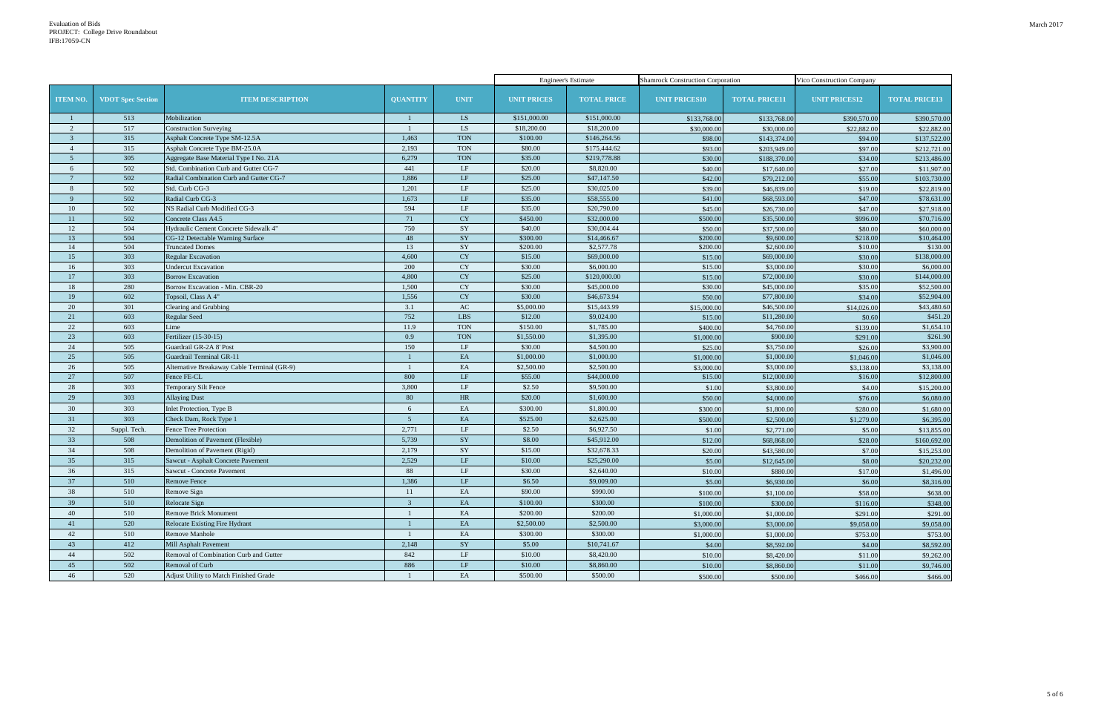|                 |                          |                                             |                 |             | <b>Engineer's Estimate</b> |                    | <b>Shamrock Construction Corporation</b> |                      | Vico Construction Company |                      |
|-----------------|--------------------------|---------------------------------------------|-----------------|-------------|----------------------------|--------------------|------------------------------------------|----------------------|---------------------------|----------------------|
| <b>ITEM NO.</b> | <b>VDOT Spec Section</b> | <b>ITEM DESCRIPTION</b>                     | <b>QUANTITY</b> | <b>UNIT</b> | <b>UNIT PRICES</b>         | <b>TOTAL PRICE</b> | <b>UNIT PRICES10</b>                     | <b>TOTAL PRICE11</b> | <b>UNIT PRICES12</b>      | <b>TOTAL PRICE13</b> |
|                 | 513                      | Mobilization                                |                 | LS          | \$151,000.00               | \$151,000.00       | \$133,768.00                             | \$133,768.00         | \$390,570.00              | \$390,570.00         |
| 2               | 517                      | <b>Construction Surveying</b>               |                 | LS          | \$18,200.00                | \$18,200.00        | \$30,000.00                              | \$30,000.00          | \$22,882.00               | \$22,882.00          |
| $\overline{3}$  | 315                      | Asphalt Concrete Type SM-12.5A              | 1,463           | <b>TON</b>  | \$100.00                   | \$146,264.56       | \$98.00                                  | \$143,374.00         | \$94.00                   | \$137,522.00         |
| $\overline{4}$  | 315                      | Asphalt Concrete Type BM-25.0A              | 2,193           | <b>TON</b>  | \$80.00                    | \$175,444.62       | \$93.00                                  | \$203,949.00         | \$97.00                   | \$212,721.00         |
| $5\overline{5}$ | 305                      | Aggregate Base Material Type I No. 21A      | 6,279           | <b>TON</b>  | \$35.00                    | \$219,778.88       | \$30.00                                  | \$188,370.00         | \$34.00                   | \$213,486.00         |
| 6               | 502                      | Std. Combination Curb and Gutter CG-7       | 441             | LF          | \$20.00                    | \$8,820.00         | \$40.00                                  | \$17,640.00          | \$27.00                   | \$11,907.00          |
|                 | 502                      | Radial Combination Curb and Gutter CG-7     | 1,886           | LF          | \$25.00                    | \$47,147.50        | \$42.00                                  | \$79,212.00          | \$55.00                   | \$103,730.00         |
| 8               | 502                      | Std. Curb CG-3                              | 1,201           | LF          | \$25.00                    | \$30,025.00        | \$39.00                                  | \$46,839.00          | \$19.00                   | \$22,819.00          |
| $\overline{9}$  | 502                      | Radial Curb CG-3                            | 1,673           | LF          | \$35.00                    | \$58,555.00        | \$41.00                                  | \$68,593.00          | \$47.00                   | \$78,631.00          |
| 10              | 502                      | NS Radial Curb Modified CG-3                | 594             | LF          | \$35.00                    | \$20,790.00        | \$45.00                                  | \$26,730.00          | \$47.00                   | \$27,918.00          |
| 11              | 502                      | Concrete Class A4.5                         | 71              | CY          | \$450.00                   | \$32,000.00        | \$500.00                                 | \$35,500.00          | \$996.00                  | \$70,716.00          |
| 12              | 504                      | Hydraulic Cement Concrete Sidewalk 4'       | 750             | $\rm SY$    | \$40.00                    | \$30,004.44        | \$50.00                                  | \$37,500.00          | \$80.00                   | \$60,000.00          |
| 13              | 504                      | CG-12 Detectable Warning Surface            | 48              | SY          | \$300.00                   | \$14,466.67        | \$200.00                                 | \$9,600.00           | \$218.00                  | \$10,464.00          |
| 14              | 504                      | <b>Truncated Domes</b>                      | 13              | SY          | \$200.00                   | \$2,577.78         | \$200.00                                 | \$2,600.00           | \$10.00                   | \$130.00             |
| 15              | 303                      | <b>Regular Excavation</b>                   | 4,600           | CY          | \$15.00                    | \$69,000.00        | \$15.00                                  | \$69,000.00          | \$30.00                   | \$138,000.00         |
| 16              | 303                      | <b>Undercut Excavation</b>                  | 200             | <b>CY</b>   | \$30.00                    | \$6,000.00         | \$15.00                                  | \$3,000.00           | \$30.00                   | \$6,000.00           |
| 17              | 303                      | <b>Borrow Excavation</b>                    | 4,800           | CY          | \$25.00                    | \$120,000.00       | \$15.00                                  | \$72,000.00          | \$30.00                   | \$144,000.00         |
| 18              | 280                      | Borrow Excavation - Min. CBR-20             | 1,500           | CY          | \$30.00                    | \$45,000.00        | \$30.00                                  | \$45,000.00          | \$35.00                   | \$52,500.00          |
| 19              | 602                      | Topsoil, Class A 4"                         | 1,556           | CY          | \$30.00                    | \$46,673.94        | \$50.00                                  | \$77,800.00          | \$34.00                   | \$52,904.00          |
| 20              | 301                      | Clearing and Grubbing                       | 3.1             | AC          | \$5,000.00                 | \$15,443.99        | \$15,000.00                              | \$46,500.00          | \$14,026.00               | \$43,480.60          |
| 21              | 603                      | Regular Seed                                | 752             | LBS         | \$12.00                    | \$9,024.00         | \$15.00                                  | \$11,280.00          | \$0.60                    | \$451.20             |
| 22              | 603                      | Lime                                        | 11.9            | <b>TON</b>  | \$150.00                   | \$1,785.00         | \$400.00                                 | \$4,760.00           | \$139.00                  | \$1,654.10           |
| 23              | 603                      | Fertilizer (15-30-15)                       | 0.9             | <b>TON</b>  | \$1,550.00                 | \$1,395.00         | \$1,000.00                               | \$900.00             | \$291.00                  | \$261.90             |
| 24              | 505                      | Guardrail GR-2A 8' Post                     | 150             | LF          | \$30.00                    | \$4,500.00         | \$25.00                                  | \$3,750.00           | \$26.00                   | \$3,900.00           |
| 25              | 505                      | Guardrail Terminal GR-11                    |                 | EA          | \$1,000.00                 | \$1,000.00         | \$1,000.00                               | \$1,000.00           | \$1,046.00                | \$1,046.00           |
| 26              | 505                      | Alternative Breakaway Cable Terminal (GR-9) |                 | EA          | \$2,500.00                 | \$2,500.00         | \$3,000.00                               | \$3,000.00           | \$3,138.00                | \$3,138.00           |
| 27              | 507                      | Fence FE-CL                                 | 800             | LF          | \$55.00                    | \$44,000.00        | \$15.00                                  | \$12,000.00          | \$16.00                   | \$12,800.00          |
| 28              | 303                      | Temporary Silt Fence                        | 3,800           | LF          | \$2.50                     | \$9,500.00         | \$1.00                                   | \$3,800.00           | \$4.00                    | \$15,200.00          |
| 29              | 303                      | <b>Allaying Dust</b>                        | 80              | HR          | \$20.00                    | \$1,600.00         | \$50.00                                  | \$4,000.00           | \$76.00                   | \$6,080.00           |
| 30              | 303                      | Inlet Protection, Type B                    | 6               | EA          | \$300.00                   | \$1,800.00         | \$300.00                                 | \$1,800.00           | \$280.00                  | \$1,680.00           |
| 31              | 303                      | Check Dam, Rock Type 1                      | $\overline{5}$  | EA          | \$525.00                   | \$2,625.00         | \$500.00                                 | \$2,500.00           | \$1,279.00                | \$6,395.00           |
| 32              | Suppl. Tech              | Fence Tree Protection                       | 2,771           | LF          | \$2.50                     | \$6,927.50         | \$1.00                                   | \$2,771.00           | \$5.00                    | \$13,855.00          |
| 33              | 508                      | Demolition of Pavement (Flexible)           | 5,739           | SY          | \$8.00                     | \$45,912.00        | \$12.00                                  | \$68,868.00          | \$28.00                   | \$160,692.00         |
| 34              | 508                      | Demolition of Pavement (Rigid)              | 2,179           | SY          | \$15.00                    | \$32,678.33        | \$20.00                                  | \$43,580.00          | \$7.00                    | \$15,253.00          |
| 35              | 315                      | Sawcut - Asphalt Concrete Pavement          | 2,529           | LF          | \$10.00                    | \$25,290.00        | \$5.00                                   | \$12,645.00          | \$8.00                    | \$20,232.00          |
| 36              | 315                      | Sawcut - Concrete Pavement                  | 88              | LF          | \$30.00                    | \$2,640.00         | \$10.00                                  | \$880.00             | \$17.00                   | \$1,496.00           |
| 37              | 510                      | Remove Fence                                | 1,386           | $\rm LF$    | \$6.50                     | \$9,009.00         | \$5.00                                   | \$6,930.00           | \$6.00                    | \$8,316.00           |
| 38              | 510                      | Remove Sign                                 | 11              | EA          | \$90.00                    | \$990.00           | \$100.00                                 | \$1,100.00           | \$58.00                   | \$638.00             |
| 39              | 510                      | Relocate Sign                               | $\overline{3}$  | EA          | \$100.00                   | \$300.00           |                                          |                      |                           |                      |
| 40              |                          |                                             |                 |             | \$200.00                   |                    | \$100.00                                 | \$300.00             | \$116.00                  | \$348.00             |
|                 | 510                      | <b>Remove Brick Monument</b>                |                 | EA          |                            | \$200.00           | \$1,000.00                               | \$1,000.00           | \$291.00                  | \$291.00             |
| 41              | 520                      | Relocate Existing Fire Hydrant              |                 | EA          | \$2,500.00                 | \$2,500.00         | \$3,000.00                               | \$3,000.00           | \$9,058.00                | \$9,058.00           |
| 42              | 510                      | Remove Manhole                              |                 | EA          | \$300.00                   | \$300.00           | \$1,000.00                               | \$1,000.00           | \$753.00                  | \$753.00             |
| 43              | 412                      | Mill Asphalt Pavement                       | 2,148           | SY          | \$5.00                     | \$10,741.67        | \$4.00                                   | \$8,592.00           | \$4.00                    | \$8,592.00           |
| 44              | 502                      | Removal of Combination Curb and Gutter      | 842             | LF          | \$10.00                    | \$8,420.00         | \$10.00                                  | \$8,420.00           | \$11.00                   | \$9,262.00           |
| 45              | 502                      | Removal of Curb                             | 886             | LF          | \$10.00                    | \$8,860.00         | \$10.00                                  | \$8,860.00           | \$11.00                   | \$9,746.00           |
| 46              | 520                      | Adjust Utility to Match Finished Grade      |                 | $\rm EA$    | \$500.00                   | \$500.00           | \$500.00                                 | \$500.00             | \$466.00                  | \$466.00             |